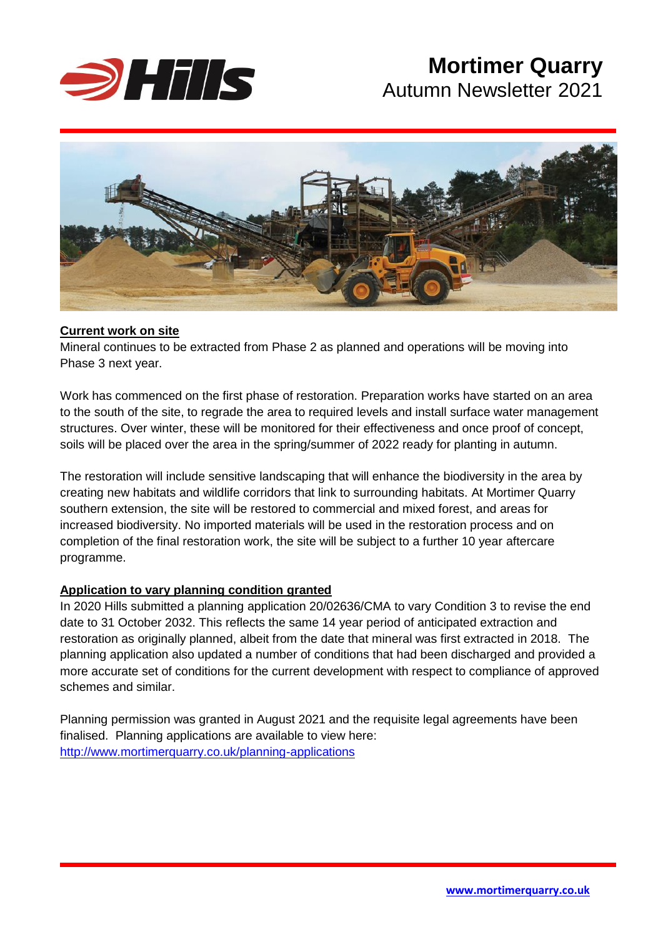

# **Mortimer Quarry<br>Autumn Newsletter 2021** Autumn Newsletter 2021



### **Current work on site**

Mineral continues to be extracted from Phase 2 as planned and operations will be moving into Phase 3 next year.

Work has commenced on the first phase of restoration. Preparation works have started on an area to the south of the site, to regrade the area to required levels and install surface water management structures. Over winter, these will be monitored for their effectiveness and once proof of concept, soils will be placed over the area in the spring/summer of 2022 ready for planting in autumn.

The restoration will include sensitive landscaping that will enhance the biodiversity in the area by creating new habitats and wildlife corridors that link to surrounding habitats. At Mortimer Quarry southern extension, the site will be restored to commercial and mixed forest, and areas for increased biodiversity. No imported materials will be used in the restoration process and on completion of the final restoration work, the site will be subject to a further 10 year aftercare programme.

### **Application to vary planning condition granted**

In 2020 Hills submitted a planning application 20/02636/CMA to vary Condition 3 to revise the end date to 31 October 2032. This reflects the same 14 year period of anticipated extraction and restoration as originally planned, albeit from the date that mineral was first extracted in 2018. The planning application also updated a number of conditions that had been discharged and provided a more accurate set of conditions for the current development with respect to compliance of approved schemes and similar.

Planning permission was granted in August 2021 and the requisite legal agreements have been finalised. Planning applications are available to view here: <http://www.mortimerquarry.co.uk/planning-applications>